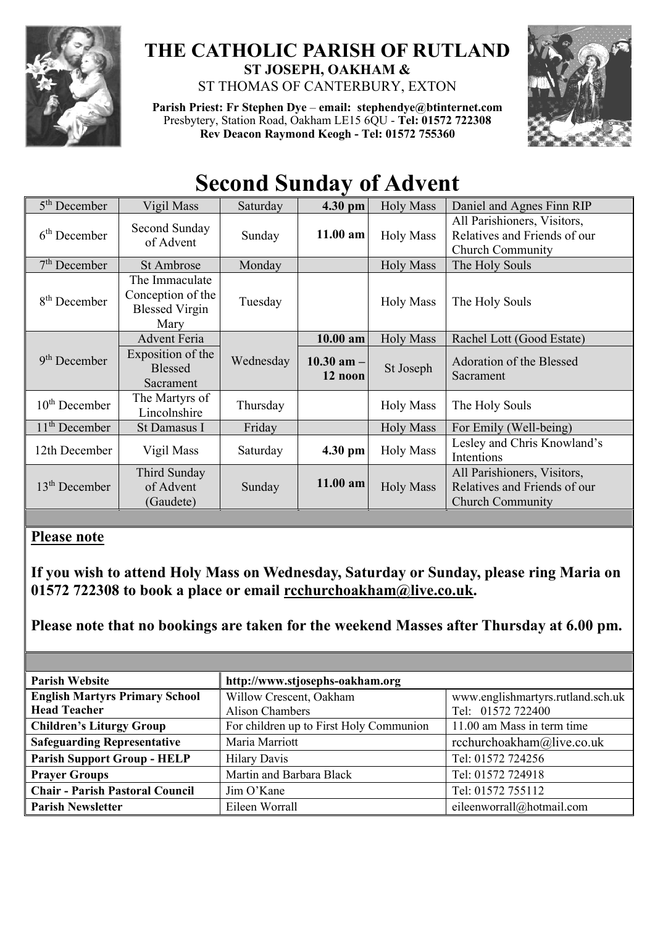

## **THE CATHOLIC PARISH OF RUTLAND ST JOSEPH, OAKHAM &**  ST THOMAS OF CANTERBURY, EXTON

**Parish Priest: Fr Stephen Dye** – **[email: stephendye@btinternet.com](mailto:email:%20%20stephendye@btinternet.com)** Presbytery, Station Road, Oakham LE15 6QU - **Tel: 01572 722308 Rev Deacon Raymond Keogh - Tel: 01572 755360**



## **Second Sunday of Advent**

| $5th$ December  | Vigil Mass                                                           | Saturday  | 4.30 pm                   | <b>Holy Mass</b> | Daniel and Agnes Finn RIP                                                              |
|-----------------|----------------------------------------------------------------------|-----------|---------------------------|------------------|----------------------------------------------------------------------------------------|
| $6th$ December  | Second Sunday<br>of Advent                                           | Sunday    | $11.00$ am                | <b>Holy Mass</b> | All Parishioners, Visitors,<br>Relatives and Friends of our<br><b>Church Community</b> |
| $7th$ December  | <b>St Ambrose</b>                                                    | Monday    |                           | <b>Holy Mass</b> | The Holy Souls                                                                         |
| $8th$ December  | The Immaculate<br>Conception of the<br><b>Blessed Virgin</b><br>Mary | Tuesday   |                           | <b>Holy Mass</b> | The Holy Souls                                                                         |
|                 | <b>Advent Feria</b>                                                  |           | $10.00$ am                | <b>Holy Mass</b> | Rachel Lott (Good Estate)                                                              |
| $9th$ December  | Exposition of the<br><b>Blessed</b><br>Sacrament                     | Wednesday | $10.30$ am $-$<br>12 noon | St Joseph        | Adoration of the Blessed<br>Sacrament                                                  |
| $10th$ December | The Martyrs of<br>Lincolnshire                                       | Thursday  |                           | <b>Holy Mass</b> | The Holy Souls                                                                         |
| $11th$ December | St Damasus I                                                         | Friday    |                           | <b>Holy Mass</b> | For Emily (Well-being)                                                                 |
| 12th December   | Vigil Mass                                                           | Saturday  | 4.30 pm                   | <b>Holy Mass</b> | Lesley and Chris Knowland's<br>Intentions                                              |
| $13th$ December | Third Sunday<br>of Advent<br>(Gaudete)                               | Sunday    | $11.00$ am                | <b>Holy Mass</b> | All Parishioners, Visitors,<br>Relatives and Friends of our<br><b>Church Community</b> |

## **Please note**

**If you wish to attend Holy Mass on Wednesday, Saturday or Sunday, please ring Maria on 01572 722308 to book a place or email [rcchurchoakham@live.co.uk.](mailto:rcchurchoakham@live.co.uk)** 

**Please note that no bookings are taken for the weekend Masses after Thursday at 6.00 pm.**

| <b>Parish Website</b>                                        | http://www.stjosephs-oakham.org            |                                                        |  |
|--------------------------------------------------------------|--------------------------------------------|--------------------------------------------------------|--|
| <b>English Martyrs Primary School</b><br><b>Head Teacher</b> | Willow Crescent, Oakham<br>Alison Chambers | www.englishmartyrs.rutland.sch.uk<br>Tel: 01572 722400 |  |
| <b>Children's Liturgy Group</b>                              | For children up to First Holy Communion    | 11.00 am Mass in term time                             |  |
| <b>Safeguarding Representative</b>                           | Maria Marriott                             | rcchurchoakham@live.co.uk                              |  |
| <b>Parish Support Group - HELP</b>                           | <b>Hilary Davis</b>                        | Tel: 01572 724256                                      |  |
| <b>Prayer Groups</b>                                         | Martin and Barbara Black                   | Tel: 01572 724918                                      |  |
| <b>Chair - Parish Pastoral Council</b>                       | Jim O'Kane                                 | Tel: 01572 755112                                      |  |
| <b>Parish Newsletter</b>                                     | Eileen Worrall                             | eileenworrall@hotmail.com                              |  |